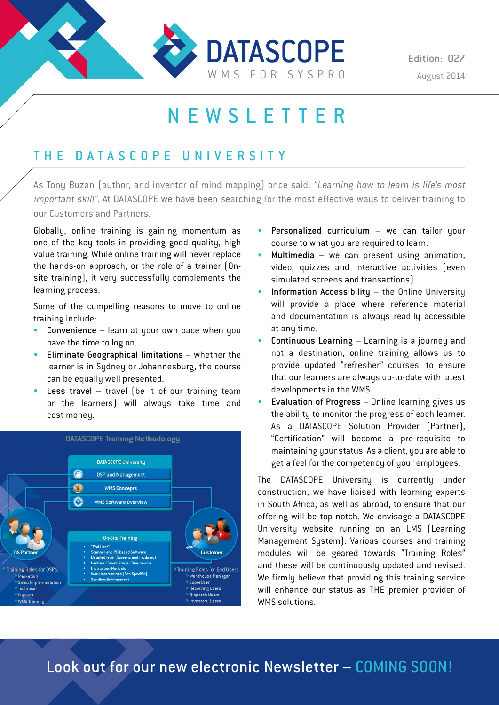

# NEWSLETTER

### THE DATASCOPE UNIVERSITY

As Tony Buzan (author, and inventor of mind mapping) once said; "Learning how to learn is life's most important skill". At DATASCOPE we have been searching for the most effective ways to deliver training to our Customers and Partners.

Globally, online training is gaining momentum as one of the key tools in providing good quality, high value training. While online training will never replace the hands-on approach, or the role of a trainer (Onsite training), it very successfully complements the learning process.

Some of the compelling reasons to move to online training include:

- Convenience learn at your own pace when you have the time to log on.
- Eliminate Geographical limitations whether the learner is in Sydney or Johannesburg, the course can be equally well presented.
- Less travel travel (be it of our training team or the learners) will always take time and cost money.



- Personalized curriculum  $-$  we can tailor your course to what you are required to learn.
- Multimedia  $-$  we can present using animation, video, quizzes and interactive activities (even simulated screens and transactions)
- Information Accessibility  $-$  the Online University will provide a place where reference material and documentation is always readily accessible at any time.
- Continuous Learning Learning is a journey and not a destination, online training allows us to provide updated "refresher" courses, to ensure that our learners are always up-to-date with latest developments in the WMS.
- Evaluation of Progress Online learning gives us the ability to monitor the progress of each learner. As a DATASCOPE Solution Provider (Partner), "Certification" will become a pre-requisite to maintaining your status. As a client, you are able to get a feel for the competency of your employees.

The DATASCOPE University is currently under construction, we have liaised with learning experts in South Africa, as well as abroad, to ensure that our offering will be top-notch. We envisage a DATASCOPE University website running on an LMS (Learning Management System). Various courses and training modules will be geared towards "Training Roles" and these will be continuously updated and revised. We firmly believe that providing this training service will enhance our status as THE premier provider of WMS colutions.

Look out for our new electronic Newsletter – COMING SOON!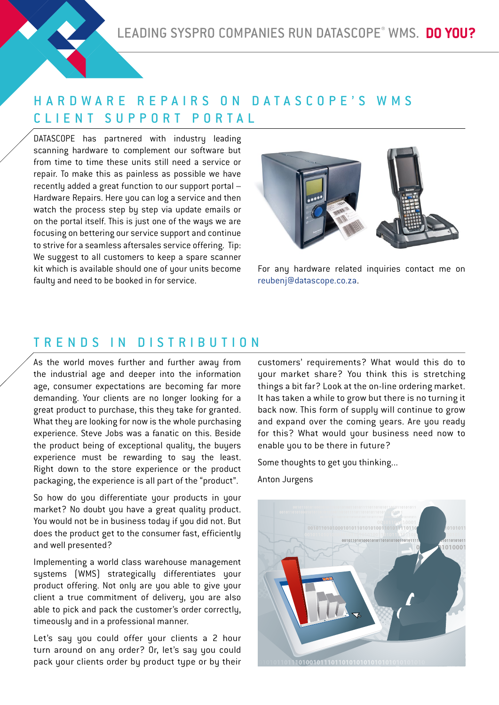## HARDWARE REPAIRS ON DATASCOPE'S WMS CLIENT SUPPORT PORTAL

DATASCOPE has partnered with industru leading scanning hardware to complement our software but from time to time these units still need a service or repair. To make this as painless as possible we have recently added a great function to our support portal – Hardware Repairs. Here you can log a service and then watch the process step by step via update emails or on the portal itself. This is just one of the ways we are focusing on bettering our service support and continue to strive for a seamless aftersales service offering. Tip: We suggest to all customers to keep a spare scanner kit which is available should one of your units become faultu and need to be booked in for service.



For any hardware related inquiries contact me on reubenj@datascope.co.za.

#### TRENDS IN DISTRIBUTION

As the world moves further and further away from the industrial age and deeper into the information age, consumer expectations are becoming far more demanding. Your clients are no longer looking for a great product to purchase, this they take for granted. What they are looking for now is the whole purchasing experience. Steve Jobs was a fanatic on this. Beside the product being of exceptional quality, the buyers experience must be rewarding to say the least. Right down to the store experience or the product packaging, the experience is all part of the "product".

So how do you differentiate your products in your market? No doubt you have a great quality product. You would not be in business today if you did not. But does the product get to the consumer fast, efficiently and well presented?

Implementing a world class warehouse management systems (WMS) strategically differentiates your product offering. Not only are you able to give your client a true commitment of delivery, you are also able to pick and pack the customer's order correctly, timeously and in a professional manner.

Let's say you could offer your clients a 2 hour turn around on any order? Or, let's say you could pack your clients order by product type or by their customers' requirements? What would this do to your market share? You think this is stretching things a bit far? Look at the on-line ordering market. It has taken a while to grow but there is no turning it back now. This form of supply will continue to grow and expand over the coming years. Are you ready for this? What would your business need now to enable you to be there in future?

Some thoughts to get you thinking...

Anton Jurgens

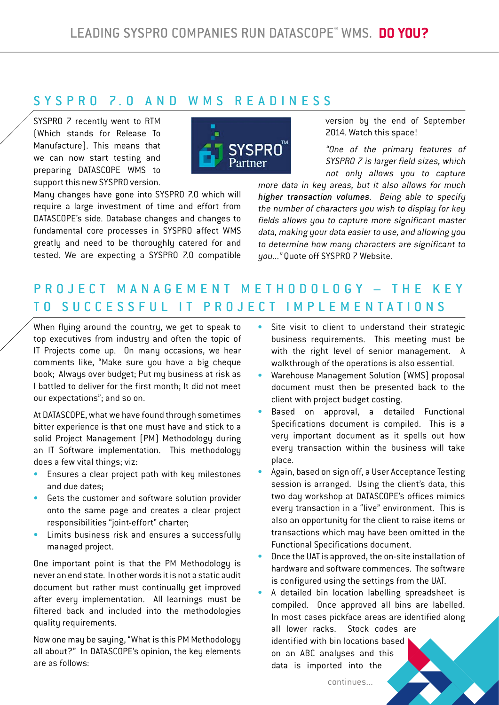#### S Y S P R O 7.0 A N D W M S R E A D I N E S S

SYSPRO 7 recently went to RTM (Which stands for Release To Manufacture). This means that we can now start testing and preparing DATASCOPE WMS to support this new SYSPRO version.



Many changes have gone into SYSPRO 7.0 which will require a large investment of time and effort from DATASCOPE's side. Database changes and changes to fundamental core processes in SYSPRO affect WMS greatly and need to be thoroughly catered for and tested. We are expecting a SYSPRO 7.0 compatible version by the end of September 2014. Watch this space!

"One of the primary features of SYSPRO 7 is larger field sizes, which not only allows you to capture

more data in key areas, but it also allows for much higher transaction volumes. Being able to specify the number of characters you wish to display for key fields allows you to capture more significant master data, making your data easier to use, and allowing you to determine how many characters are significant to you..." Quote off SYSPRO 7 Website.

# P R O J E C T M A N A G E M E N T M E T H O D O L O G Y – T H E K E Y TO SUCCESSFUL IT PROJECT IMPLEMENTATIONS

When flying around the country, we get to speak to top executives from industry and often the topic of IT Projects come up. On many occasions, we hear comments like, "Make sure you have a big cheque book; Always over budget; Put my business at risk as I battled to deliver for the first month; It did not meet our expectations"; and so on.

At DATASCOPE, what we have found through sometimes bitter experience is that one must have and stick to a solid Project Management (PM) Methodology during an IT Software implementation. This methodology does a few vital things; viz:

- Ensures a clear project path with key milestones and due dates;
- Gets the customer and software solution provider onto the same page and creates a clear project responsibilities "joint-effort" charter;
- Limits business risk and ensures a successfully managed project.

One important point is that the PM Methodology is never an end state. In other words it is not a static audit document but rather must continually get improved after every implementation. All learnings must be filtered back and included into the methodologies quality requirements.

Now one may be saying, "What is this PM Methodology all about?" In DATASCOPE's opinion, the key elements are as follows:

- Site visit to client to understand their strategic business requirements. This meeting must be with the right level of senior management. A walkthrough of the operations is also essential.
- Warehouse Management Solution (WMS) proposal document must then be presented back to the client with project budget costing.
- Based on approval, a detailed Functional Specifications document is compiled. This is a very important document as it spells out how every transaction within the business will take place.
- Again, based on sign off, a User Acceptance Testing session is arranged. Using the client's data, this two day workshop at DATASCOPE's offices mimics every transaction in a "live" environment. This is also an opportunity for the client to raise items or transactions which may have been omitted in the Functional Specifications document.
- Once the UAT is approved, the on-site installation of hardware and software commences. The software is configured using the settings from the UAT.

• A detailed bin location labelling spreadsheet is compiled. Once approved all bins are labelled. In most cases pickface areas are identified along all lower racks. Stock codes are identified with bin locations based on an ABC analyses and this data is imported into the

continues...